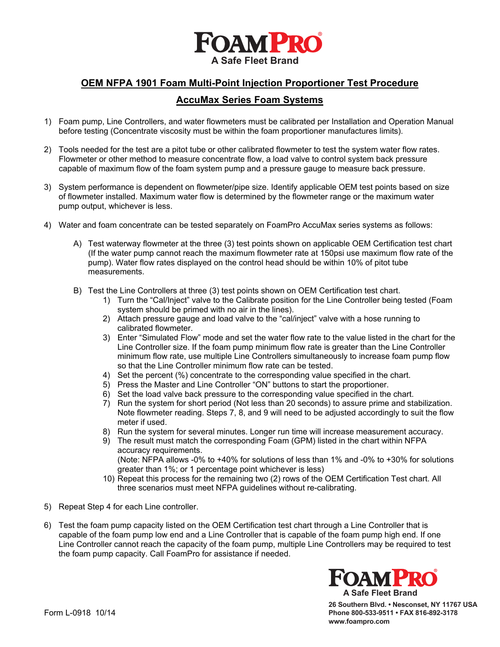

# **OEM NFPA 1901 Foam Multi-Point Injection Proportioner Test Procedure**

## **AccuMax Series Foam Systems**

- 1) Foam pump, Line Controllers, and water flowmeters must be calibrated per Installation and Operation Manual before testing (Concentrate viscosity must be within the foam proportioner manufactures limits).
- 2) Tools needed for the test are a pitot tube or other calibrated flowmeter to test the system water flow rates. Flowmeter or other method to measure concentrate flow, a load valve to control system back pressure capable of maximum flow of the foam system pump and a pressure gauge to measure back pressure.
- 3) System performance is dependent on flowmeter/pipe size. Identify applicable OEM test points based on size of flowmeter installed. Maximum water flow is determined by the flowmeter range or the maximum water pump output, whichever is less.
- 4) Water and foam concentrate can be tested separately on FoamPro AccuMax series systems as follows:
	- A) Test waterway flowmeter at the three (3) test points shown on applicable OEM Certification test chart (If the water pump cannot reach the maximum flowmeter rate at 150psi use maximum flow rate of the pump). Water flow rates displayed on the control head should be within 10% of pitot tube measurements.
	- B) Test the Line Controllers at three (3) test points shown on OEM Certification test chart.
		- 1) Turn the "Cal/Inject" valve to the Calibrate position for the Line Controller being tested (Foam system should be primed with no air in the lines).
		- 2) Attach pressure gauge and load valve to the "cal/inject" valve with a hose running to calibrated flowmeter.
		- 3) Enter "Simulated Flow" mode and set the water flow rate to the value listed in the chart for the Line Controller size. If the foam pump minimum flow rate is greater than the Line Controller minimum flow rate, use multiple Line Controllers simultaneously to increase foam pump flow so that the Line Controller minimum flow rate can be tested.
		- 4) Set the percent (%) concentrate to the corresponding value specified in the chart.
		- 5) Press the Master and Line Controller "ON" buttons to start the proportioner.
		- 6) Set the load valve back pressure to the corresponding value specified in the chart.
		- 7) Run the system for short period (Not less than 20 seconds) to assure prime and stabilization. Note flowmeter reading. Steps 7, 8, and 9 will need to be adjusted accordingly to suit the flow meter if used.
		- 8) Run the system for several minutes. Longer run time will increase measurement accuracy.
		- 9) The result must match the corresponding Foam (GPM) listed in the chart within NFPA accuracy requirements. (Note: NFPA allows -0% to +40% for solutions of less than 1% and -0% to +30% for solutions greater than 1%; or 1 percentage point whichever is less)
		- 10) Repeat this process for the remaining two (2) rows of the OEM Certification Test chart. All three scenarios must meet NFPA guidelines without re-calibrating.
- 5) Repeat Step 4 for each Line controller.
- 6) Test the foam pump capacity listed on the OEM Certification test chart through a Line Controller that is capable of the foam pump low end and a Line Controller that is capable of the foam pump high end. If one Line Controller cannot reach the capacity of the foam pump, multiple Line Controllers may be required to test the foam pump capacity. Call FoamPro for assistance if needed.